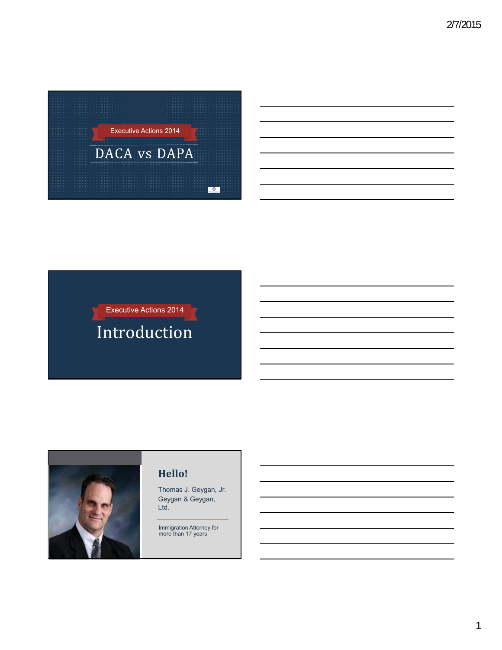

# Executive Actions 2014 Introduction



### **Hello!**

Thomas J. Geygan, Jr. Geygan & Geygan, Ltd.

Immigration Attorney for more than 17 years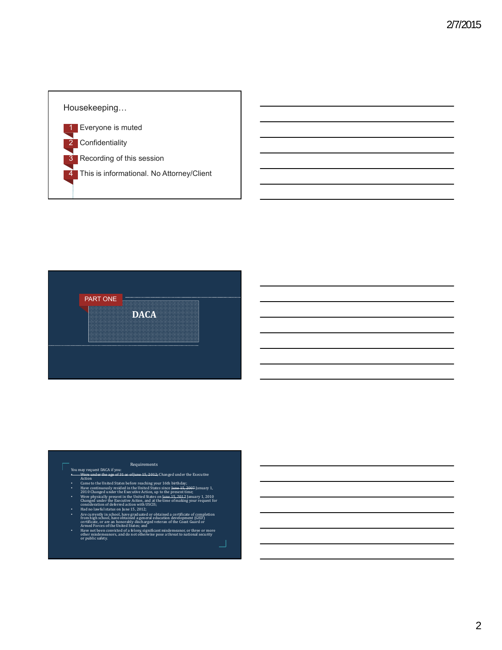# Housekeeping… 1 Everyone is muted 2 Confidentiality 3 Recording of this session This is informational. No Attorney/Client



#### Requirements

- You may request DACA if you:
- 
- Were under the age of 31 as of June 15, 2012; Changed under the Executive<br>Came to the United States before reaching your 16th birthday;<br>Came to the United States before reaching your 16th birthday;<br>Playe continuously resid
- 
- 
- Were physically present in the United States on Jame<br>4 5, 2012 January 1, 2010 Changed under the Executive Action, and at the time of making your request for<br>transideration of deferred action with USCIS;<br>Had no lawful sta
- 
- Have not been convicted of a felony, significant misdemeanor, or three or more<br>other misdemeanors, and do not otherwise pose a threat to national security<br>or public safety.

┘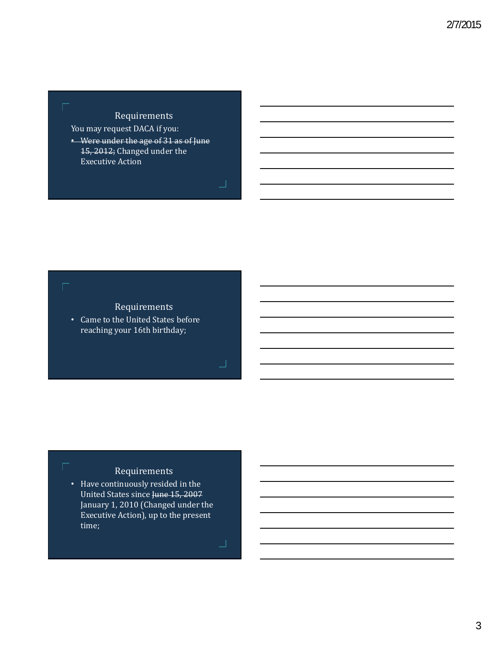You may request DACA if you:

• Were under the age of 31 as of June 15, 2012; Changed under the **Executive Action** 



Г

## Requirements

• Came to the United States before reaching your 16th birthday;

### Requirements

• Have continuously resided in the United States since June 15, 2007 January 1, 2010 (Changed under the Executive Action), up to the present time; 

コ

 $\perp$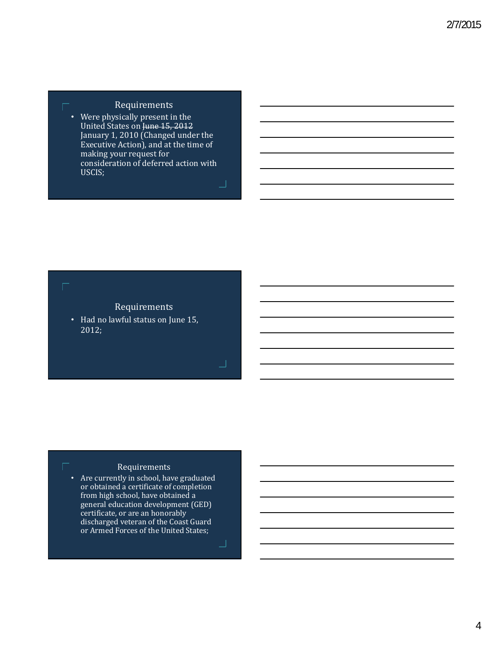• Were physically present in the United States on June 15, 2012 January 1, 2010 (Changed under the Executive Action), and at the time of making your request for consideration of deferred action with USCIS;

### Г

### Requirements

• Had no lawful status on June 15, 2012;

### Requirements

• Are currently in school, have graduated or obtained a certificate of completion from high school, have obtained a general education development (GED) certificate, or are an honorably discharged veteran of the Coast Guard or Armed Forces of the United States;

┚

」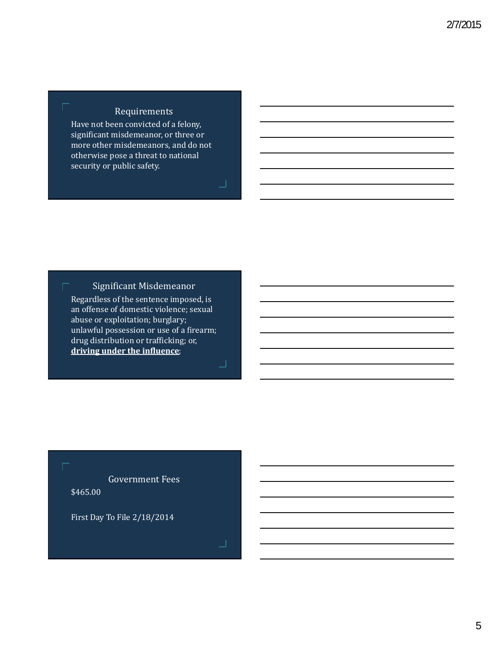г

г

г

Have not been convicted of a felony, significant misdemeanor, or three or more other misdemeanors, and do not otherwise pose a threat to national security or public safety.

┚

」

コ

Significant Misdemeanor

Regardless of the sentence imposed, is an offense of domestic violence; sexual abuse or exploitation; burglary; unlawful possession or use of a firearm; drug distribution or trafficking; or, **driving under the influence**; 

Government Fees \$465.00

First Day To File 2/18/2014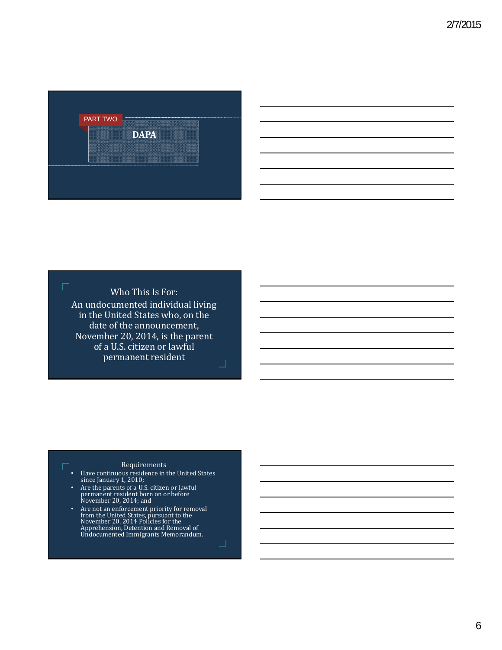

Who This Is For: An undocumented individual living in the United States who, on the date of the announcement, November 20, 2014, is the parent of a U.S. citizen or lawful permanent resident ┚

Г

#### Requirements

• Have continuous residence in the United States since January 1, 2010;

- Are the parents of a U.S. citizen or lawful<br>permanent resident born on or before<br>November 20, 2014; and
- Are not an enforcement priority for removal from the United States, pursuant to the<br>November 20, 2014 Policies for the<br>Apprehension, Detention and Removal of<br>Undocumented Immigrants Memorandum.

┙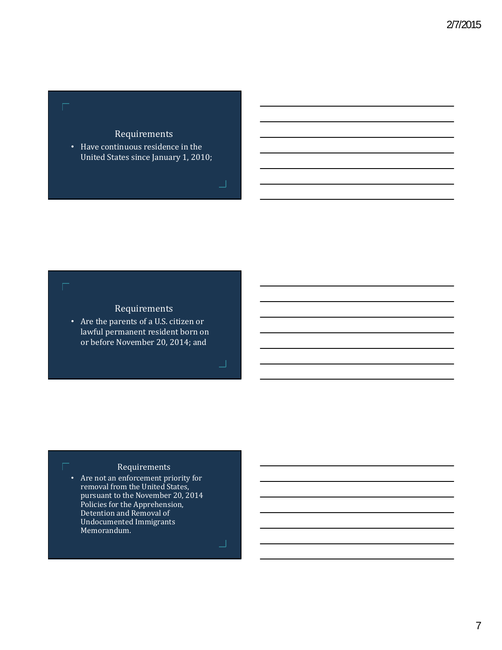г

г

• Have continuous residence in the United States since January 1, 2010;

### Requirements

• Are the parents of a U.S. citizen or lawful permanent resident born on or before November 20, 2014; and

### Requirements

• Are not an enforcement priority for removal from the United States, pursuant to the November 20, 2014 Policies for the Apprehension, Detention and Removal of Undocumented Immigrants Memorandum.

コ

コ

」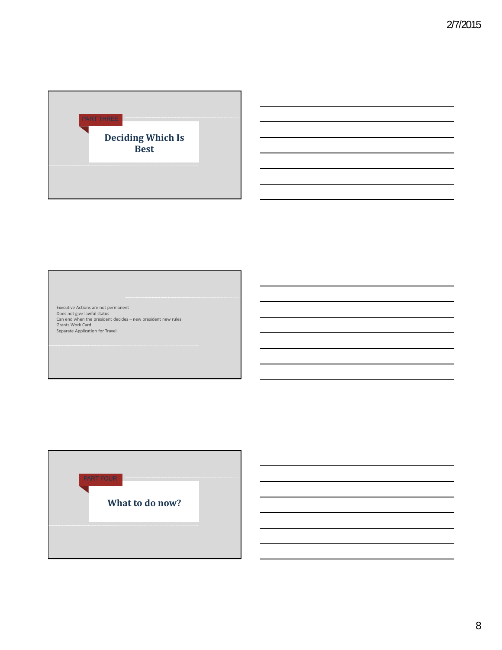

:us<br>Jent decides — new president new rules Executive Actions are not permanent<br>Does not give lawful status<br>Can end when the president decides – new president new rules<br>Grants Work Card Carl end when the president dealer<br>Grants Work Card<br>Separate Application for Travel



8